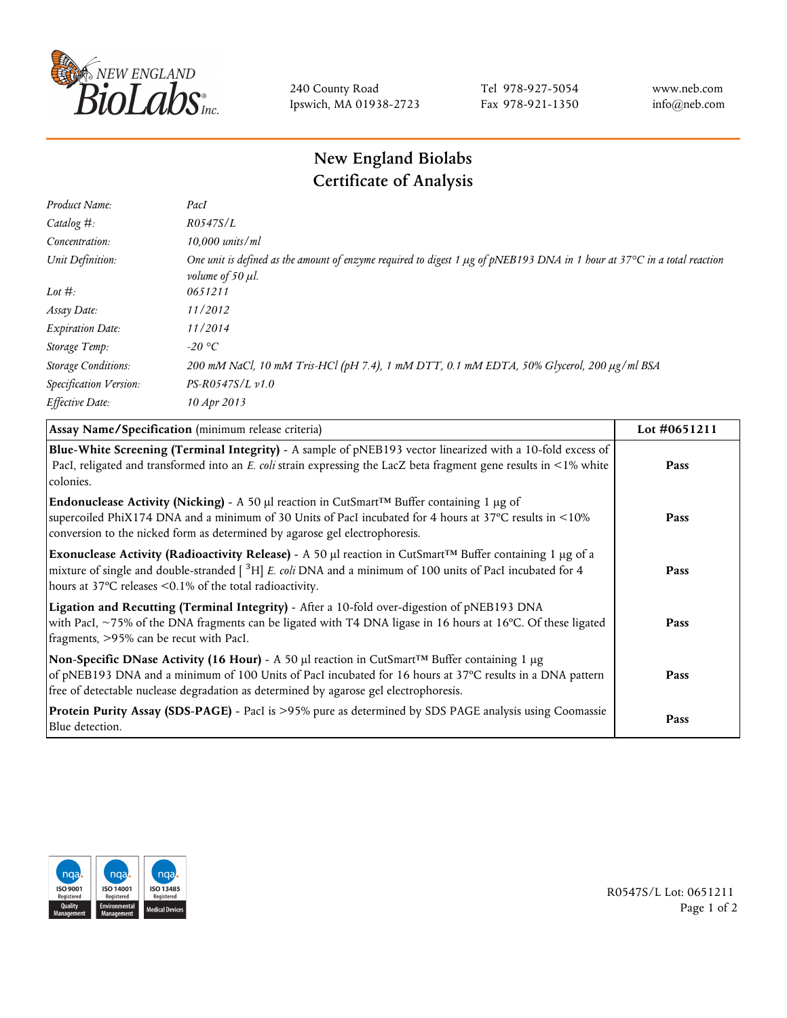

240 County Road Ipswich, MA 01938-2723 Tel 978-927-5054 Fax 978-921-1350 www.neb.com info@neb.com

## **New England Biolabs Certificate of Analysis**

| Product Name:              | PacI                                                                                                                                                               |
|----------------------------|--------------------------------------------------------------------------------------------------------------------------------------------------------------------|
| Catalog $#$ :              | R0547S/L                                                                                                                                                           |
| Concentration:             | $10,000$ units/ml                                                                                                                                                  |
| Unit Definition:           | One unit is defined as the amount of enzyme required to digest 1 µg of pNEB193 DNA in 1 hour at 37°C in a total reaction<br><i>volume of 50 <math>\mu</math>l.</i> |
| Lot $\#$ :                 | 0651211                                                                                                                                                            |
| Assay Date:                | 11/2012                                                                                                                                                            |
| <b>Expiration Date:</b>    | 11/2014                                                                                                                                                            |
| Storage Temp:              | $-20$ °C                                                                                                                                                           |
| <b>Storage Conditions:</b> | 200 mM NaCl, 10 mM Tris-HCl (pH 7.4), 1 mM DTT, 0.1 mM EDTA, 50% Glycerol, 200 μg/ml BSA                                                                           |
| Specification Version:     | $PS-R0547S/L \nu 1.0$                                                                                                                                              |
| Effective Date:            | 10 Apr 2013                                                                                                                                                        |

| Assay Name/Specification (minimum release criteria)                                                                                                                                                                                                                                                     | Lot #0651211 |
|---------------------------------------------------------------------------------------------------------------------------------------------------------------------------------------------------------------------------------------------------------------------------------------------------------|--------------|
| Blue-White Screening (Terminal Integrity) - A sample of pNEB193 vector linearized with a 10-fold excess of<br>PacI, religated and transformed into an E. coli strain expressing the LacZ beta fragment gene results in <1% white<br>colonies.                                                           | Pass         |
| <b>Endonuclease Activity (Nicking)</b> - A 50 µl reaction in CutSmart <sup>TM</sup> Buffer containing 1 µg of<br>supercoiled PhiX174 DNA and a minimum of 30 Units of PacI incubated for 4 hours at 37°C results in <10%<br>conversion to the nicked form as determined by agarose gel electrophoresis. | Pass         |
| Exonuclease Activity (Radioactivity Release) - A 50 µl reaction in CutSmart™ Buffer containing 1 µg of a<br>mixture of single and double-stranded $[$ <sup>3</sup> H $]$ E. coli DNA and a minimum of 100 units of PacI incubated for 4<br>hours at 37°C releases <0.1% of the total radioactivity.     | Pass         |
| Ligation and Recutting (Terminal Integrity) - After a 10-fold over-digestion of pNEB193 DNA<br>with PacI, ~75% of the DNA fragments can be ligated with T4 DNA ligase in 16 hours at 16°C. Of these ligated<br>fragments, >95% can be recut with PacI.                                                  | Pass         |
| Non-Specific DNase Activity (16 Hour) - A 50 µl reaction in CutSmart™ Buffer containing 1 µg<br>of pNEB193 DNA and a minimum of 100 Units of PacI incubated for 16 hours at 37°C results in a DNA pattern<br>free of detectable nuclease degradation as determined by agarose gel electrophoresis.      | Pass         |
| Protein Purity Assay (SDS-PAGE) - PacI is >95% pure as determined by SDS PAGE analysis using Coomassie<br>Blue detection.                                                                                                                                                                               | Pass         |



R0547S/L Lot: 0651211 Page 1 of 2